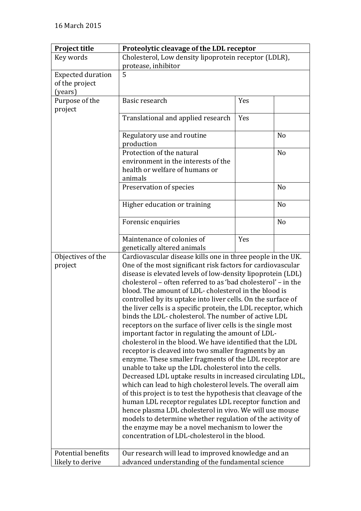| <b>Project title</b>                   | Proteolytic cleavage of the LDL receptor                                                                                                                                                                                                                                                                                                                                                                                                                                                                                                                                                                                                                                                                                                                                                                                                                                                                                                                                                                                                                                                                                                                                                                                                                                                                                                                      |     |                |
|----------------------------------------|---------------------------------------------------------------------------------------------------------------------------------------------------------------------------------------------------------------------------------------------------------------------------------------------------------------------------------------------------------------------------------------------------------------------------------------------------------------------------------------------------------------------------------------------------------------------------------------------------------------------------------------------------------------------------------------------------------------------------------------------------------------------------------------------------------------------------------------------------------------------------------------------------------------------------------------------------------------------------------------------------------------------------------------------------------------------------------------------------------------------------------------------------------------------------------------------------------------------------------------------------------------------------------------------------------------------------------------------------------------|-----|----------------|
| Key words                              | Cholesterol, Low density lipoprotein receptor (LDLR),                                                                                                                                                                                                                                                                                                                                                                                                                                                                                                                                                                                                                                                                                                                                                                                                                                                                                                                                                                                                                                                                                                                                                                                                                                                                                                         |     |                |
|                                        | protease, inhibitor                                                                                                                                                                                                                                                                                                                                                                                                                                                                                                                                                                                                                                                                                                                                                                                                                                                                                                                                                                                                                                                                                                                                                                                                                                                                                                                                           |     |                |
| <b>Expected duration</b>               | 5                                                                                                                                                                                                                                                                                                                                                                                                                                                                                                                                                                                                                                                                                                                                                                                                                                                                                                                                                                                                                                                                                                                                                                                                                                                                                                                                                             |     |                |
| of the project                         |                                                                                                                                                                                                                                                                                                                                                                                                                                                                                                                                                                                                                                                                                                                                                                                                                                                                                                                                                                                                                                                                                                                                                                                                                                                                                                                                                               |     |                |
| (years)                                |                                                                                                                                                                                                                                                                                                                                                                                                                                                                                                                                                                                                                                                                                                                                                                                                                                                                                                                                                                                                                                                                                                                                                                                                                                                                                                                                                               |     |                |
| Purpose of the<br>project              | Basic research                                                                                                                                                                                                                                                                                                                                                                                                                                                                                                                                                                                                                                                                                                                                                                                                                                                                                                                                                                                                                                                                                                                                                                                                                                                                                                                                                | Yes |                |
|                                        | Translational and applied research                                                                                                                                                                                                                                                                                                                                                                                                                                                                                                                                                                                                                                                                                                                                                                                                                                                                                                                                                                                                                                                                                                                                                                                                                                                                                                                            | Yes |                |
|                                        | Regulatory use and routine<br>production                                                                                                                                                                                                                                                                                                                                                                                                                                                                                                                                                                                                                                                                                                                                                                                                                                                                                                                                                                                                                                                                                                                                                                                                                                                                                                                      |     | N <sub>o</sub> |
|                                        | Protection of the natural<br>environment in the interests of the<br>health or welfare of humans or<br>animals                                                                                                                                                                                                                                                                                                                                                                                                                                                                                                                                                                                                                                                                                                                                                                                                                                                                                                                                                                                                                                                                                                                                                                                                                                                 |     | N <sub>o</sub> |
|                                        | Preservation of species                                                                                                                                                                                                                                                                                                                                                                                                                                                                                                                                                                                                                                                                                                                                                                                                                                                                                                                                                                                                                                                                                                                                                                                                                                                                                                                                       |     | N <sub>o</sub> |
|                                        | Higher education or training                                                                                                                                                                                                                                                                                                                                                                                                                                                                                                                                                                                                                                                                                                                                                                                                                                                                                                                                                                                                                                                                                                                                                                                                                                                                                                                                  |     | N <sub>o</sub> |
|                                        | Forensic enquiries                                                                                                                                                                                                                                                                                                                                                                                                                                                                                                                                                                                                                                                                                                                                                                                                                                                                                                                                                                                                                                                                                                                                                                                                                                                                                                                                            |     | N <sub>o</sub> |
|                                        | Maintenance of colonies of<br>genetically altered animals                                                                                                                                                                                                                                                                                                                                                                                                                                                                                                                                                                                                                                                                                                                                                                                                                                                                                                                                                                                                                                                                                                                                                                                                                                                                                                     | Yes |                |
| Objectives of the<br>project           | Cardiovascular disease kills one in three people in the UK.<br>One of the most significant risk factors for cardiovascular<br>disease is elevated levels of low-density lipoprotein (LDL)<br>cholesterol – often referred to as 'bad cholesterol' – in the<br>blood. The amount of LDL-cholesterol in the blood is<br>controlled by its uptake into liver cells. On the surface of<br>the liver cells is a specific protein, the LDL receptor, which<br>binds the LDL-cholesterol. The number of active LDL<br>receptors on the surface of liver cells is the single most<br>important factor in regulating the amount of LDL-<br>cholesterol in the blood. We have identified that the LDL<br>receptor is cleaved into two smaller fragments by an<br>enzyme. These smaller fragments of the LDL receptor are<br>unable to take up the LDL cholesterol into the cells.<br>Decreased LDL uptake results in increased circulating LDL,<br>which can lead to high cholesterol levels. The overall aim<br>of this project is to test the hypothesis that cleavage of the<br>human LDL receptor regulates LDL receptor function and<br>hence plasma LDL cholesterol in vivo. We will use mouse<br>models to determine whether regulation of the activity of<br>the enzyme may be a novel mechanism to lower the<br>concentration of LDL-cholesterol in the blood. |     |                |
| Potential benefits<br>likely to derive | Our research will lead to improved knowledge and an<br>advanced understanding of the fundamental science                                                                                                                                                                                                                                                                                                                                                                                                                                                                                                                                                                                                                                                                                                                                                                                                                                                                                                                                                                                                                                                                                                                                                                                                                                                      |     |                |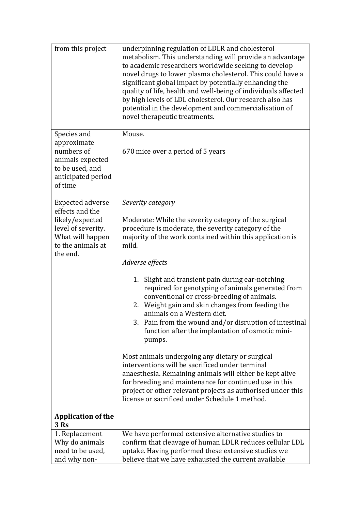| from this project                                                                                                            | underpinning regulation of LDLR and cholesterol<br>metabolism. This understanding will provide an advantage<br>to academic researchers worldwide seeking to develop<br>novel drugs to lower plasma cholesterol. This could have a<br>significant global impact by potentially enhancing the<br>quality of life, health and well-being of individuals affected<br>by high levels of LDL cholesterol. Our research also has<br>potential in the development and commercialisation of<br>novel therapeutic treatments. |  |  |
|------------------------------------------------------------------------------------------------------------------------------|---------------------------------------------------------------------------------------------------------------------------------------------------------------------------------------------------------------------------------------------------------------------------------------------------------------------------------------------------------------------------------------------------------------------------------------------------------------------------------------------------------------------|--|--|
| Species and<br>approximate<br>numbers of<br>animals expected<br>to be used, and<br>anticipated period<br>of time             | Mouse.<br>670 mice over a period of 5 years                                                                                                                                                                                                                                                                                                                                                                                                                                                                         |  |  |
| <b>Expected adverse</b><br>effects and the<br>likely/expected<br>level of severity.<br>What will happen<br>to the animals at | Severity category<br>Moderate: While the severity category of the surgical<br>procedure is moderate, the severity category of the<br>majority of the work contained within this application is<br>mild.                                                                                                                                                                                                                                                                                                             |  |  |
| the end.                                                                                                                     | Adverse effects                                                                                                                                                                                                                                                                                                                                                                                                                                                                                                     |  |  |
|                                                                                                                              | Slight and transient pain during ear-notching<br>1.<br>required for genotyping of animals generated from<br>conventional or cross-breeding of animals.<br>2. Weight gain and skin changes from feeding the<br>animals on a Western diet.<br>3. Pain from the wound and/or disruption of intestinal<br>function after the implantation of osmotic mini-<br>pumps.                                                                                                                                                    |  |  |
|                                                                                                                              | Most animals undergoing any dietary or surgical<br>interventions will be sacrificed under terminal<br>anaesthesia. Remaining animals will either be kept alive<br>for breeding and maintenance for continued use in this<br>project or other relevant projects as authorised under this<br>license or sacrificed under Schedule 1 method.                                                                                                                                                                           |  |  |
| <b>Application of the</b><br>3 Rs                                                                                            |                                                                                                                                                                                                                                                                                                                                                                                                                                                                                                                     |  |  |
| 1. Replacement<br>Why do animals<br>need to be used,<br>and why non-                                                         | We have performed extensive alternative studies to<br>confirm that cleavage of human LDLR reduces cellular LDL<br>uptake. Having performed these extensive studies we<br>believe that we have exhausted the current available                                                                                                                                                                                                                                                                                       |  |  |